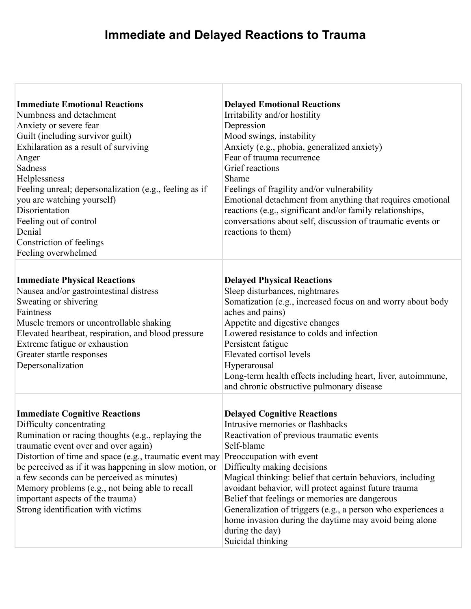## **Immediate and Delayed Reactions to Trauma**

Г

| <b>Immediate Emotional Reactions</b><br>Numbness and detachment<br>Anxiety or severe fear<br>Guilt (including survivor guilt)<br>Exhilaration as a result of surviving<br>Anger<br>Sadness<br>Helplessness<br>Feeling unreal; depersonalization (e.g., feeling as if<br>you are watching yourself)<br>Disorientation<br>Feeling out of control<br>Denial<br>Constriction of feelings<br>Feeling overwhelmed                                                    | <b>Delayed Emotional Reactions</b><br>Irritability and/or hostility<br>Depression<br>Mood swings, instability<br>Anxiety (e.g., phobia, generalized anxiety)<br>Fear of trauma recurrence<br>Grief reactions<br>Shame<br>Feelings of fragility and/or vulnerability<br>Emotional detachment from anything that requires emotional<br>reactions (e.g., significant and/or family relationships,<br>conversations about self, discussion of traumatic events or<br>reactions to them)                                                     |
|----------------------------------------------------------------------------------------------------------------------------------------------------------------------------------------------------------------------------------------------------------------------------------------------------------------------------------------------------------------------------------------------------------------------------------------------------------------|-----------------------------------------------------------------------------------------------------------------------------------------------------------------------------------------------------------------------------------------------------------------------------------------------------------------------------------------------------------------------------------------------------------------------------------------------------------------------------------------------------------------------------------------|
| <b>Immediate Physical Reactions</b><br>Nausea and/or gastrointestinal distress<br>Sweating or shivering<br>Faintness<br>Muscle tremors or uncontrollable shaking<br>Elevated heartbeat, respiration, and blood pressure<br>Extreme fatigue or exhaustion<br>Greater startle responses<br>Depersonalization                                                                                                                                                     | <b>Delayed Physical Reactions</b><br>Sleep disturbances, nightmares<br>Somatization (e.g., increased focus on and worry about body<br>aches and pains)<br>Appetite and digestive changes<br>Lowered resistance to colds and infection<br>Persistent fatigue<br>Elevated cortisol levels<br>Hyperarousal<br>Long-term health effects including heart, liver, autoimmune,<br>and chronic obstructive pulmonary disease                                                                                                                    |
| <b>Immediate Cognitive Reactions</b><br>Difficulty concentrating<br>Rumination or racing thoughts (e.g., replaying the<br>traumatic event over and over again)<br>Distortion of time and space (e.g., traumatic event may<br>be perceived as if it was happening in slow motion, or<br>a few seconds can be perceived as minutes)<br>Memory problems (e.g., not being able to recall<br>important aspects of the trauma)<br>Strong identification with victims | <b>Delayed Cognitive Reactions</b><br>Intrusive memories or flashbacks<br>Reactivation of previous traumatic events<br>Self-blame<br>Preoccupation with event<br>Difficulty making decisions<br>Magical thinking: belief that certain behaviors, including<br>avoidant behavior, will protect against future trauma<br>Belief that feelings or memories are dangerous<br>Generalization of triggers (e.g., a person who experiences a<br>home invasion during the daytime may avoid being alone<br>during the day)<br>Suicidal thinking |